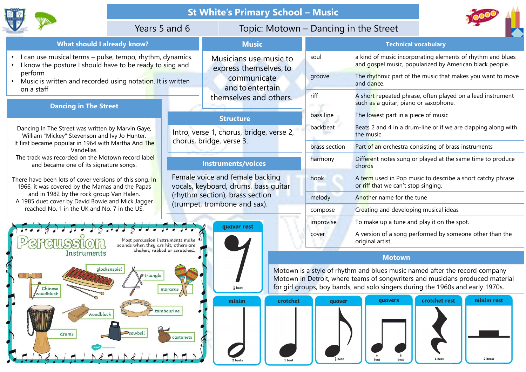



- 
- perform
- Music is written and recorded using notation. It is written on a staff

Dancing In The Street was written by Marvin Gaye, William "Mickey" Stevenson and Ivy Jo Hunter. It first became popular in 1964 with Martha And The Vandellas. Vears 5 and 6 To<br>
Vears 5 and 6 To<br>
I can use musical terms – pulse, tempo, rhythm, dynamics.<br>
I know the posture I should have to be ready to sing and<br>
nerform<br>
The street was written by Marvin Gaye<br>
Dancing In The Street

and became one of its signature songs.

1966, it was covered by the Mamas and the Papas and in 1982 by the rock group Van Halen.

A 1985 duet cover by David Bowie and Mick Jagger reached No. 1 in the UK and No. 7 in the US.



# St White's Primary School<br>
Years 5 and 6 Topic: Motown<br>
What should I already know? Music<br>
I sical terms – pulse, tempo, rhythm, dynamics.<br>
Oosture I should have to be ready to sing and<br>
ten and recorded using notation. It • I can use musical terms – pulse, tempo, rhythm, dynamics.<br>• I know the posture I should have to be ready to sing and<br>• Music is written and recorded using notation. It is written<br>• Music is written and recorded using not St White's Primary Sc<br>
What should I already know? Music<br>
musical terms – pulse, tempo, rhythm, dynamics.<br>
Posture I should have to be ready to sing and<br>
musical musical series themselves,<br>
ritten and recorded using notati St White's Primary School - Mu<br>
What should I already know?<br>
I can use musical terms - pulse, tempo, rhythm, dynamics.<br>
I know the posture is should have to be ready to sing and<br>
Denoting in The Street<br>
Music is written an Music Musicians use music to express themselves,to communicate and to entertain themselves and others.

### **Structure**

## Instruments/voices



| <b>St White's Primary School - Music</b><br>Topic: Motown - Dancing in the Street<br>Years 5 and 6<br><b>Music</b><br><b>Technical vocabulary</b><br>rhythm, dynamics.<br>a kind of music incorporating elements of rhythm and blues<br>soul<br>Musicians use music to<br>and gospel music, popularized by American black people.<br>ready to sing and<br>express themselves, to<br>The rhythmic part of the music that makes you want to move<br>groove<br>communicate<br>and dance.<br>and to entertain<br>riff<br>A short repeated phrase, often played on a lead instrument<br>themselves and others.<br>such as a guitar, piano or saxophone.<br>The lowest part in a piece of music<br>bass line<br><b>Structure</b><br>backbeat<br>Beats 2 and 4 in a drum-line or if we are clapping along with<br>Intro, verse 1, chorus, bridge, verse 2,<br>the music<br>chorus, bridge, verse 3.<br>Part of an orchestra consisting of brass instruments<br>brass section<br>Different notes sung or played at the same time to produce<br>harmony<br><b>Instruments/voices</b><br>chords<br>Female voice and female backing<br>A term used in Pop music to describe a short catchy phrase<br>hook<br>or riff that we can't stop singing.<br>vocals, keyboard, drums, bass guitar<br>(rhythm section), brass section<br>Another name for the tune<br>melody<br>(trumpet, trombone and sax).<br>Creating and developing musical ideas<br>compose<br>To make up a tune and play it on the spot.<br>improvise<br>quaver rest<br>A version of a song performed by someone other than the<br>cover<br>original artist.<br><b>Motown</b><br>Motown is a style of rhythm and blues music named after the record company<br>triangle<br>Motown in Detroit, where teams of songwriters and musicians produced material<br>for girl groups, boy bands, and solo singers during the 1960s and early 1970s. |  |            |                   |        |         |                             |
|---------------------------------------------------------------------------------------------------------------------------------------------------------------------------------------------------------------------------------------------------------------------------------------------------------------------------------------------------------------------------------------------------------------------------------------------------------------------------------------------------------------------------------------------------------------------------------------------------------------------------------------------------------------------------------------------------------------------------------------------------------------------------------------------------------------------------------------------------------------------------------------------------------------------------------------------------------------------------------------------------------------------------------------------------------------------------------------------------------------------------------------------------------------------------------------------------------------------------------------------------------------------------------------------------------------------------------------------------------------------------------------------------------------------------------------------------------------------------------------------------------------------------------------------------------------------------------------------------------------------------------------------------------------------------------------------------------------------------------------------------------------------------------------------------------------------------------------------------------------------------------------------|--|------------|-------------------|--------|---------|-----------------------------|
|                                                                                                                                                                                                                                                                                                                                                                                                                                                                                                                                                                                                                                                                                                                                                                                                                                                                                                                                                                                                                                                                                                                                                                                                                                                                                                                                                                                                                                                                                                                                                                                                                                                                                                                                                                                                                                                                                             |  |            |                   |        |         |                             |
| <b>Swoi</b><br>tation. It is written<br>Gaye,<br>nter.<br>nd The<br>rd label<br>song <mark>. In</mark><br>Papas<br>n.<br>Jagger<br>US.<br>ercussion instruments make<br>vhen they are hit; others are<br>shaken, rubbed or scratched.                                                                                                                                                                                                                                                                                                                                                                                                                                                                                                                                                                                                                                                                                                                                                                                                                                                                                                                                                                                                                                                                                                                                                                                                                                                                                                                                                                                                                                                                                                                                                                                                                                                       |  |            |                   |        |         |                             |
|                                                                                                                                                                                                                                                                                                                                                                                                                                                                                                                                                                                                                                                                                                                                                                                                                                                                                                                                                                                                                                                                                                                                                                                                                                                                                                                                                                                                                                                                                                                                                                                                                                                                                                                                                                                                                                                                                             |  |            |                   |        |         |                             |
|                                                                                                                                                                                                                                                                                                                                                                                                                                                                                                                                                                                                                                                                                                                                                                                                                                                                                                                                                                                                                                                                                                                                                                                                                                                                                                                                                                                                                                                                                                                                                                                                                                                                                                                                                                                                                                                                                             |  |            |                   |        |         |                             |
|                                                                                                                                                                                                                                                                                                                                                                                                                                                                                                                                                                                                                                                                                                                                                                                                                                                                                                                                                                                                                                                                                                                                                                                                                                                                                                                                                                                                                                                                                                                                                                                                                                                                                                                                                                                                                                                                                             |  |            |                   |        |         |                             |
|                                                                                                                                                                                                                                                                                                                                                                                                                                                                                                                                                                                                                                                                                                                                                                                                                                                                                                                                                                                                                                                                                                                                                                                                                                                                                                                                                                                                                                                                                                                                                                                                                                                                                                                                                                                                                                                                                             |  |            |                   |        |         |                             |
|                                                                                                                                                                                                                                                                                                                                                                                                                                                                                                                                                                                                                                                                                                                                                                                                                                                                                                                                                                                                                                                                                                                                                                                                                                                                                                                                                                                                                                                                                                                                                                                                                                                                                                                                                                                                                                                                                             |  |            |                   |        |         |                             |
|                                                                                                                                                                                                                                                                                                                                                                                                                                                                                                                                                                                                                                                                                                                                                                                                                                                                                                                                                                                                                                                                                                                                                                                                                                                                                                                                                                                                                                                                                                                                                                                                                                                                                                                                                                                                                                                                                             |  |            |                   |        |         |                             |
|                                                                                                                                                                                                                                                                                                                                                                                                                                                                                                                                                                                                                                                                                                                                                                                                                                                                                                                                                                                                                                                                                                                                                                                                                                                                                                                                                                                                                                                                                                                                                                                                                                                                                                                                                                                                                                                                                             |  |            |                   |        |         |                             |
|                                                                                                                                                                                                                                                                                                                                                                                                                                                                                                                                                                                                                                                                                                                                                                                                                                                                                                                                                                                                                                                                                                                                                                                                                                                                                                                                                                                                                                                                                                                                                                                                                                                                                                                                                                                                                                                                                             |  |            |                   |        |         |                             |
|                                                                                                                                                                                                                                                                                                                                                                                                                                                                                                                                                                                                                                                                                                                                                                                                                                                                                                                                                                                                                                                                                                                                                                                                                                                                                                                                                                                                                                                                                                                                                                                                                                                                                                                                                                                                                                                                                             |  |            |                   |        |         |                             |
|                                                                                                                                                                                                                                                                                                                                                                                                                                                                                                                                                                                                                                                                                                                                                                                                                                                                                                                                                                                                                                                                                                                                                                                                                                                                                                                                                                                                                                                                                                                                                                                                                                                                                                                                                                                                                                                                                             |  |            |                   |        |         |                             |
|                                                                                                                                                                                                                                                                                                                                                                                                                                                                                                                                                                                                                                                                                                                                                                                                                                                                                                                                                                                                                                                                                                                                                                                                                                                                                                                                                                                                                                                                                                                                                                                                                                                                                                                                                                                                                                                                                             |  |            |                   |        |         |                             |
|                                                                                                                                                                                                                                                                                                                                                                                                                                                                                                                                                                                                                                                                                                                                                                                                                                                                                                                                                                                                                                                                                                                                                                                                                                                                                                                                                                                                                                                                                                                                                                                                                                                                                                                                                                                                                                                                                             |  |            |                   |        |         |                             |
|                                                                                                                                                                                                                                                                                                                                                                                                                                                                                                                                                                                                                                                                                                                                                                                                                                                                                                                                                                                                                                                                                                                                                                                                                                                                                                                                                                                                                                                                                                                                                                                                                                                                                                                                                                                                                                                                                             |  |            |                   |        |         |                             |
|                                                                                                                                                                                                                                                                                                                                                                                                                                                                                                                                                                                                                                                                                                                                                                                                                                                                                                                                                                                                                                                                                                                                                                                                                                                                                                                                                                                                                                                                                                                                                                                                                                                                                                                                                                                                                                                                                             |  |            |                   |        |         |                             |
| $\frac{1}{2}$ beat                                                                                                                                                                                                                                                                                                                                                                                                                                                                                                                                                                                                                                                                                                                                                                                                                                                                                                                                                                                                                                                                                                                                                                                                                                                                                                                                                                                                                                                                                                                                                                                                                                                                                                                                                                                                                                                                          |  |            |                   |        |         |                             |
|                                                                                                                                                                                                                                                                                                                                                                                                                                                                                                                                                                                                                                                                                                                                                                                                                                                                                                                                                                                                                                                                                                                                                                                                                                                                                                                                                                                                                                                                                                                                                                                                                                                                                                                                                                                                                                                                                             |  | tambourine | crotchet<br>minim | quaver | quavers | minim rest<br>crotchet rest |

## Motown